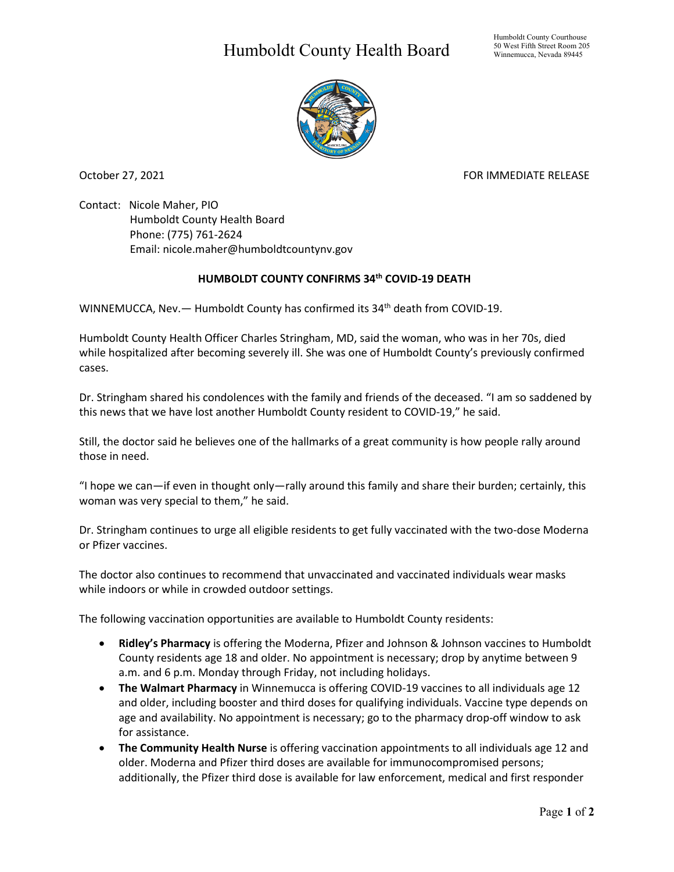## Humboldt County Health Board



October 27, 2021 **FOR IMMEDIATE RELEASE** 

Contact: Nicole Maher, PIO Humboldt County Health Board Phone: (775) 761-2624 Email: nicole.maher@humboldtcountynv.gov

## **HUMBOLDT COUNTY CONFIRMS 34th COVID-19 DEATH**

WINNEMUCCA, Nev. - Humboldt County has confirmed its 34<sup>th</sup> death from COVID-19.

Humboldt County Health Officer Charles Stringham, MD, said the woman, who was in her 70s, died while hospitalized after becoming severely ill. She was one of Humboldt County's previously confirmed cases.

Dr. Stringham shared his condolences with the family and friends of the deceased. "I am so saddened by this news that we have lost another Humboldt County resident to COVID-19," he said.

Still, the doctor said he believes one of the hallmarks of a great community is how people rally around those in need.

"I hope we can—if even in thought only—rally around this family and share their burden; certainly, this woman was very special to them," he said.

Dr. Stringham continues to urge all eligible residents to get fully vaccinated with the two-dose Moderna or Pfizer vaccines.

The doctor also continues to recommend that unvaccinated and vaccinated individuals wear masks while indoors or while in crowded outdoor settings.

The following vaccination opportunities are available to Humboldt County residents:

- **Ridley's Pharmacy** is offering the Moderna, Pfizer and Johnson & Johnson vaccines to Humboldt County residents age 18 and older. No appointment is necessary; drop by anytime between 9 a.m. and 6 p.m. Monday through Friday, not including holidays.
- **The Walmart Pharmacy** in Winnemucca is offering COVID-19 vaccines to all individuals age 12 and older, including booster and third doses for qualifying individuals. Vaccine type depends on age and availability. No appointment is necessary; go to the pharmacy drop-off window to ask for assistance.
- **The Community Health Nurse** is offering vaccination appointments to all individuals age 12 and older. Moderna and Pfizer third doses are available for immunocompromised persons; additionally, the Pfizer third dose is available for law enforcement, medical and first responder